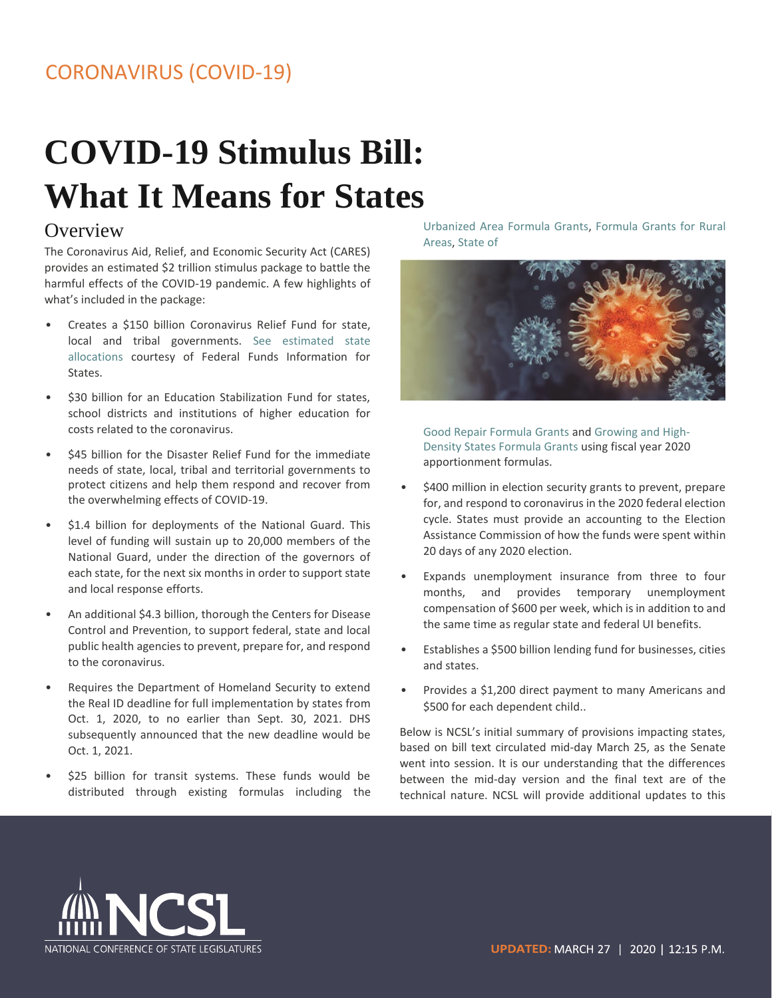# **COVID-19 Stimulus Bill: What It Means for States**

#### **Overview**

The Coronavirus Aid, Relief, and Economic Security Act (CARES) provides an estimated \$2 trillion stimulus package to battle the harmful effects of the COVID-19 pandemic. A few highlights of what's included in the package:

- Creates a \$150 billion Coronavirus Relief Fund for state, local and tribal governments. [See estimated state](https://www.ncsl.org/Portals/1/Documents/statefed/COVID_Relief_Fund.pdf)  [allocations co](https://www.ncsl.org/Portals/1/Documents/statefed/COVID_Relief_Fund.pdf)urtesy of Federal Funds Information for States.
- \$30 billion for an Education Stabilization Fund for states, school districts and institutions of higher education for costs related to the coronavirus.
- \$45 billion for the Disaster Relief Fund for the immediate needs of state, local, tribal and territorial governments to protect citizens and help them respond and recover from the overwhelming effects of COVID-19.
- \$1.4 billion for deployments of the National Guard. This level of funding will sustain up to 20,000 members of the National Guard, under the direction of the governors of each state, for the next six months in order to support state and local response efforts.
- An additional \$4.3 billion, thorough the Centers for Disease Control and Prevention, to support federal, state and local public health agencies to prevent, prepare for, and respond to the coronavirus.
- Requires the Department of Homeland Security to extend the Real ID deadline for full implementation by states from Oct. 1, 2020, to no earlier than Sept. 30, 2021. DHS subsequently announced that the new deadline would be Oct. 1, 2021.
- \$25 billion for transit systems. These funds would be distributed through existing formulas including the

[Urbanized Area Formula Grants,](https://www.transit.dot.gov/funding/grants/urbanized-area-formula-grants-5307) [Formula Grants for Rural](https://www.transit.dot.gov/funding/grants/formula-grants-rural-areas-fact-sheet-section-5311)  [Areas,](https://www.transit.dot.gov/funding/grants/formula-grants-rural-areas-fact-sheet-section-5311) [State of](https://www.transit.dot.gov/funding/grants/state-good-repair-grants-5337)



[Good Repair Formula Grants](https://www.transit.dot.gov/funding/grants/state-good-repair-grants-5337) an[d Growing and High-](https://www.transit.dot.gov/funding/grants/section-5340-growing-stateshigh-density-states-program-pdf)[Density States Formula Grants](https://www.transit.dot.gov/funding/grants/section-5340-growing-stateshigh-density-states-program-pdf) using fiscal year 2020 apportionment formulas.

- \$400 million in election security grants to prevent, prepare for, and respond to coronavirus in the 2020 federal election cycle. States must provide an accounting to the Election Assistance Commission of how the funds were spent within 20 days of any 2020 election.
- Expands unemployment insurance from three to four months, and provides temporary unemployment compensation of \$600 per week, which is in addition to and the same time as regular state and federal UI benefits.
- Establishes a \$500 billion lending fund for businesses, cities and states.
- Provides a \$1,200 direct payment to many Americans and \$500 for each dependent child..

Below is NCSL's initial summary of provisions impacting states, based on bill text circulated mid-day March 25, as the Senate went into session. It is our understanding that the differences between the mid-day version and the final text are of the technical nature. NCSL will provide additional updates to this

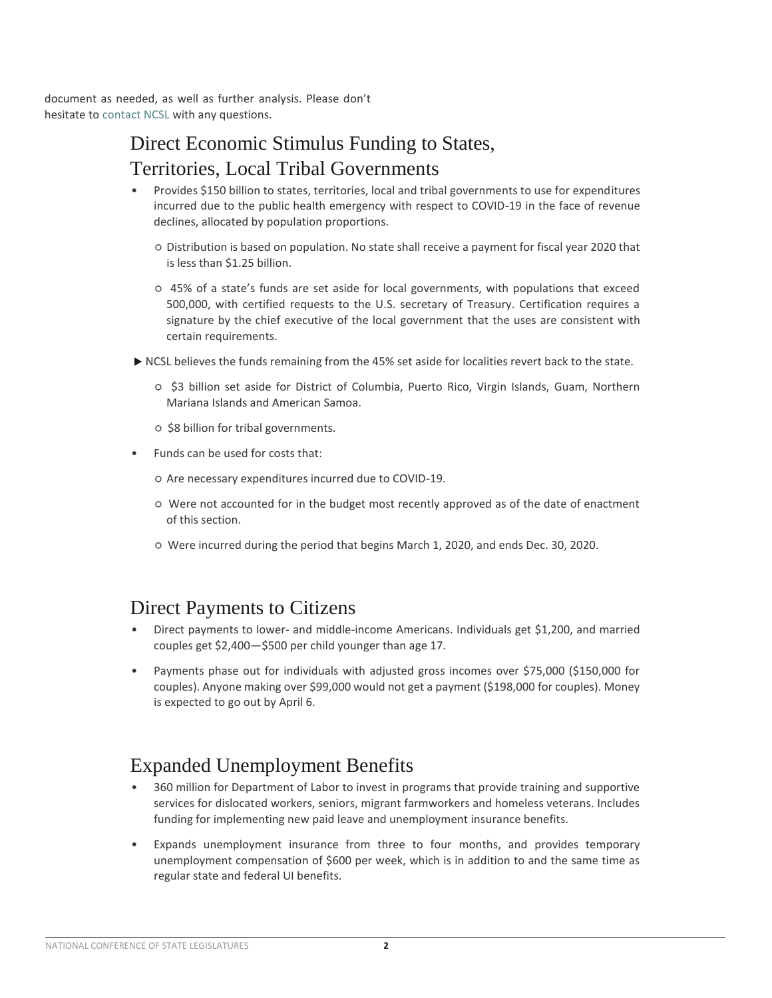document as needed, as well as further analysis. Please don't hesitate to contact NCSL with any questions.

## Direct Economic Stimulus Funding to States, Territories, Local Tribal Governments

- Provides \$150 billion to states, territories, local and tribal governments to use for expenditures incurred due to the public health emergency with respect to COVID-19 in the face of revenue declines, allocated by population proportions.
	- Distribution is based on population. No state shall receive a payment for fiscal year 2020 that is less than \$1.25 billion.
	- 45% of a state's funds are set aside for local governments, with populations that exceed 500,000, with certified requests to the U.S. secretary of Treasury. Certification requires a signature by the chief executive of the local government that the uses are consistent with certain requirements.
- $\triangleright$  NCSL believes the funds remaining from the 45% set aside for localities revert back to the state.
	- \$3 billion set aside for District of Columbia, Puerto Rico, Virgin Islands, Guam, Northern Mariana Islands and American Samoa.
	- \$8 billion for tribal governments.
- Funds can be used for costs that:
	- Are necessary expenditures incurred due to COVID-19.
	- Were not accounted for in the budget most recently approved as of the date of enactment of this section.
	- Were incurred during the period that begins March 1, 2020, and ends Dec. 30, 2020.

#### Direct Payments to Citizens

- Direct payments to lower- and middle-income Americans. Individuals get \$1,200, and married couples get \$2,400—\$500 per child younger than age 17.
- Payments phase out for individuals with adjusted gross incomes over \$75,000 (\$150,000 for couples). Anyone making over \$99,000 would not get a payment (\$198,000 for couples). Money is expected to go out by April 6.

#### Expanded Unemployment Benefits

- 360 million for Department of Labor to invest in programs that provide training and supportive services for dislocated workers, seniors, migrant farmworkers and homeless veterans. Includes funding for implementing new paid leave and unemployment insurance benefits.
- Expands unemployment insurance from three to four months, and provides temporary unemployment compensation of \$600 per week, which is in addition to and the same time as regular state and federal UI benefits.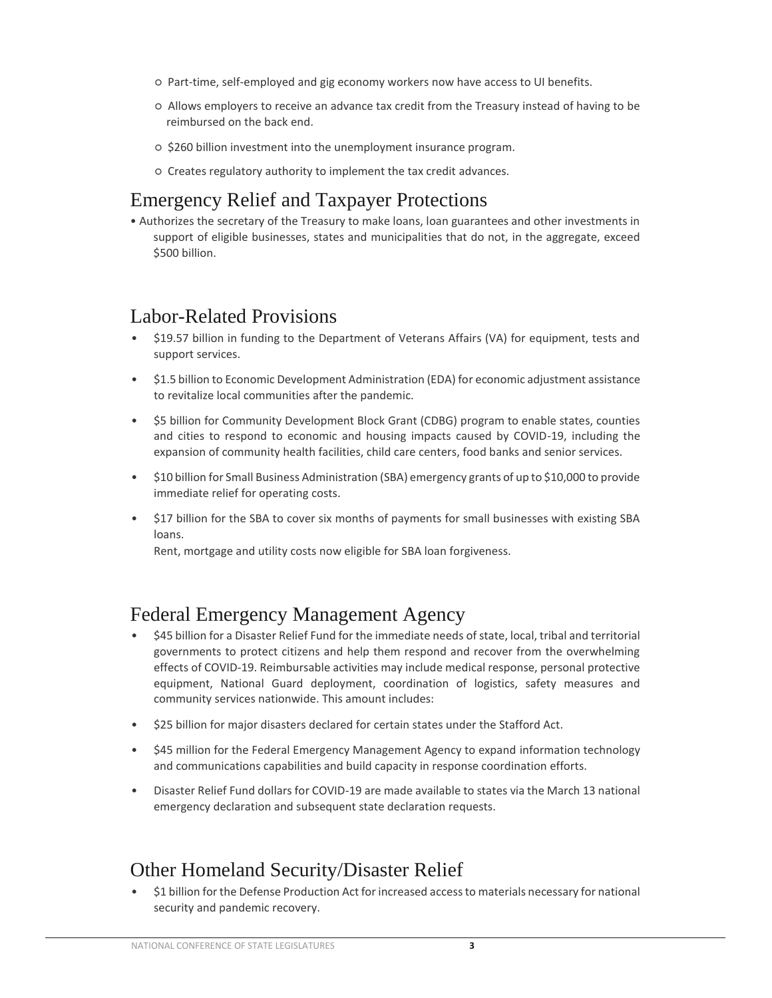- Part-time, self-employed and gig economy workers now have access to UI benefits.
- Allows employers to receive an advance tax credit from the Treasury instead of having to be reimbursed on the back end.
- \$260 billion investment into the unemployment insurance program.
- Creates regulatory authority to implement the tax credit advances.

#### Emergency Relief and Taxpayer Protections

• Authorizes the secretary of the Treasury to make loans, loan guarantees and other investments in support of eligible businesses, states and municipalities that do not, in the aggregate, exceed \$500 billion.

#### Labor-Related Provisions

- \$19.57 billion in funding to the Department of Veterans Affairs (VA) for equipment, tests and support services.
- \$1.5 billion to Economic Development Administration (EDA) for economic adjustment assistance to revitalize local communities after the pandemic.
- \$5 billion for Community Development Block Grant (CDBG) program to enable states, counties and cities to respond to economic and housing impacts caused by COVID-19, including the expansion of community health facilities, child care centers, food banks and senior services.
- \$10 billion for Small Business Administration (SBA) emergency grants of up to \$10,000 to provide immediate relief for operating costs.
- \$17 billion for the SBA to cover six months of payments for small businesses with existing SBA loans.

Rent, mortgage and utility costs now eligible for SBA loan forgiveness.

#### Federal Emergency Management Agency

- \$45 billion for a Disaster Relief Fund for the immediate needs of state, local, tribal and territorial governments to protect citizens and help them respond and recover from the overwhelming effects of COVID-19. Reimbursable activities may include medical response, personal protective equipment, National Guard deployment, coordination of logistics, safety measures and community services nationwide. This amount includes:
- \$25 billion for major disasters declared for certain states under the Stafford Act.
- \$45 million for the Federal Emergency Management Agency to expand information technology and communications capabilities and build capacity in response coordination efforts.
- Disaster Relief Fund dollars for COVID-19 are made available to states via the March 13 national emergency declaration and subsequent state declaration requests.

#### Other Homeland Security/Disaster Relief

• \$1 billion for the Defense Production Act for increased access to materials necessary for national security and pandemic recovery.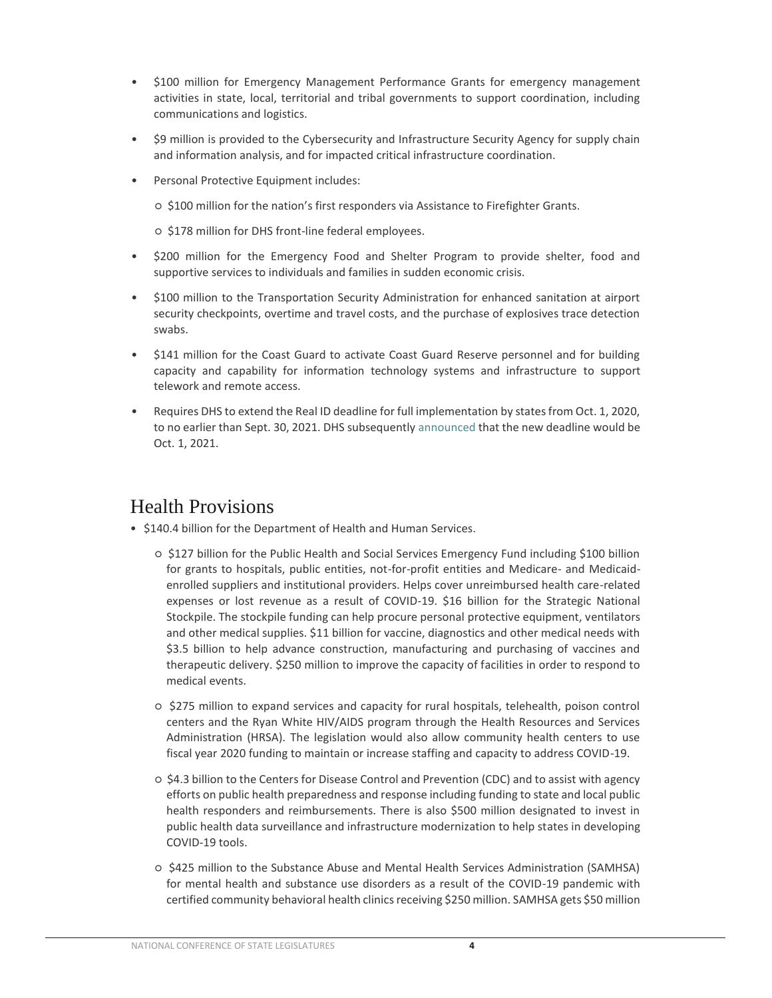- \$100 million for Emergency Management Performance Grants for emergency management activities in state, local, territorial and tribal governments to support coordination, including communications and logistics.
- \$9 million is provided to the Cybersecurity and Infrastructure Security Agency for supply chain and information analysis, and for impacted critical infrastructure coordination.
- Personal Protective Equipment includes:
	- \$100 million for the nation's first responders via Assistance to Firefighter Grants.
	- \$178 million for DHS front-line federal employees.
- \$200 million for the Emergency Food and Shelter Program to provide shelter, food and supportive services to individuals and families in sudden economic crisis.
- \$100 million to the Transportation Security Administration for enhanced sanitation at airport security checkpoints, overtime and travel costs, and the purchase of explosives trace detection swabs.
- \$141 million for the Coast Guard to activate Coast Guard Reserve personnel and for building capacity and capability for information technology systems and infrastructure to support telework and remote access.
- Requires DHS to extend the Real ID deadline for full implementation by states from Oct. 1, 2020, to no earlier than Sept. 30, 2021. DHS subsequently [announced](https://www.dhs.gov/news/2020/03/26/acting-secretary-chad-wolf-statement-real-id-enforcement-deadline) [t](https://www.dhs.gov/news/2020/03/26/acting-secretary-chad-wolf-statement-real-id-enforcement-deadline)hat the new deadline would be Oct. 1, 2021.

### Health Provisions

- \$140.4 billion for the Department of Health and Human Services.
	- \$127 billion for the Public Health and Social Services Emergency Fund including \$100 billion for grants to hospitals, public entities, not-for-profit entities and Medicare- and Medicaidenrolled suppliers and institutional providers. Helps cover unreimbursed health care-related expenses or lost revenue as a result of COVID-19. \$16 billion for the Strategic National Stockpile. The stockpile funding can help procure personal protective equipment, ventilators and other medical supplies. \$11 billion for vaccine, diagnostics and other medical needs with \$3.5 billion to help advance construction, manufacturing and purchasing of vaccines and therapeutic delivery. \$250 million to improve the capacity of facilities in order to respond to medical events.
	- \$275 million to expand services and capacity for rural hospitals, telehealth, poison control centers and the Ryan White HIV/AIDS program through the Health Resources and Services Administration (HRSA). The legislation would also allow community health centers to use fiscal year 2020 funding to maintain or increase staffing and capacity to address COVID-19.
	- \$4.3 billion to the Centers for Disease Control and Prevention (CDC) and to assist with agency efforts on public health preparedness and response including funding to state and local public health responders and reimbursements. There is also \$500 million designated to invest in public health data surveillance and infrastructure modernization to help states in developing COVID-19 tools.
	- \$425 million to the Substance Abuse and Mental Health Services Administration (SAMHSA) for mental health and substance use disorders as a result of the COVID-19 pandemic with certified community behavioral health clinics receiving \$250 million. SAMHSA gets \$50 million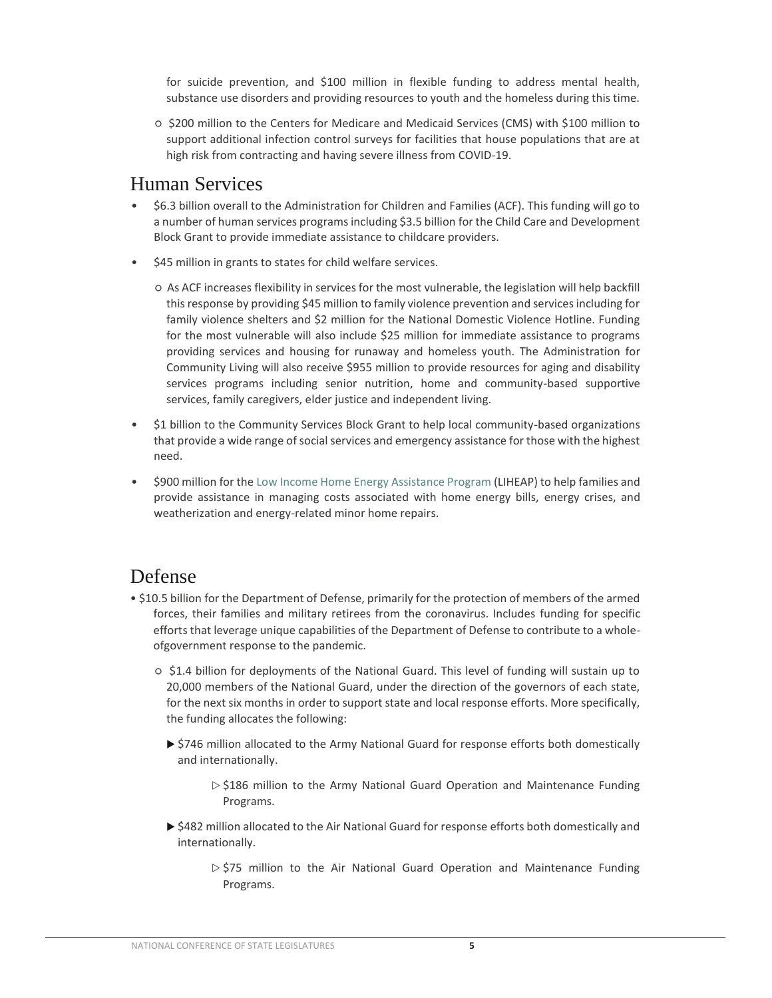for suicide prevention, and \$100 million in flexible funding to address mental health, substance use disorders and providing resources to youth and the homeless during this time.

○ \$200 million to the Centers for Medicare and Medicaid Services (CMS) with \$100 million to support additional infection control surveys for facilities that house populations that are at high risk from contracting and having severe illness from COVID-19.

#### Human Services

- \$6.3 billion overall to the Administration for Children and Families (ACF). This funding will go to a number of human services programs including \$3.5 billion for the Child Care and Development Block Grant to provide immediate assistance to childcare providers.
- \$45 million in grants to states for child welfare services.
	- As ACF increases flexibility in services for the most vulnerable, the legislation will help backfill this response by providing \$45 million to family violence prevention and services including for family violence shelters and \$2 million for the National Domestic Violence Hotline. Funding for the most vulnerable will also include \$25 million for immediate assistance to programs providing services and housing for runaway and homeless youth. The Administration for Community Living will also receive \$955 million to provide resources for aging and disability services programs including senior nutrition, home and community-based supportive services, family caregivers, elder justice and independent living.
- \$1 billion to the Community Services Block Grant to help local community-based organizations that provide a wide range of social services and emergency assistance for those with the highest need.
- \$900 million for th[e Low Income Home Energy Assistance Program](https://www.acf.hhs.gov/ocs/resource/liheap-fact-sheet-0) [\(](https://www.acf.hhs.gov/ocs/resource/liheap-fact-sheet-0)LIHEAP) to help families and provide assistance in managing costs associated with home energy bills, energy crises, and weatherization and energy-related minor home repairs.

#### Defense

- \$10.5 billion for the Department of Defense, primarily for the protection of members of the armed forces, their families and military retirees from the coronavirus. Includes funding for specific efforts that leverage unique capabilities of the Department of Defense to contribute to a wholeofgovernment response to the pandemic.
	- \$1.4 billion for deployments of the National Guard. This level of funding will sustain up to 20,000 members of the National Guard, under the direction of the governors of each state, for the next six months in order to support state and local response efforts. More specifically, the funding allocates the following:
		- ▶ \$746 million allocated to the Army National Guard for response efforts both domestically and internationally.
			- $\triangleright$  \$186 million to the Army National Guard Operation and Maintenance Funding Programs.
		- ▶ \$482 million allocated to the Air National Guard for response efforts both domestically and internationally.
			- $\triangleright$  \$75 million to the Air National Guard Operation and Maintenance Funding Programs.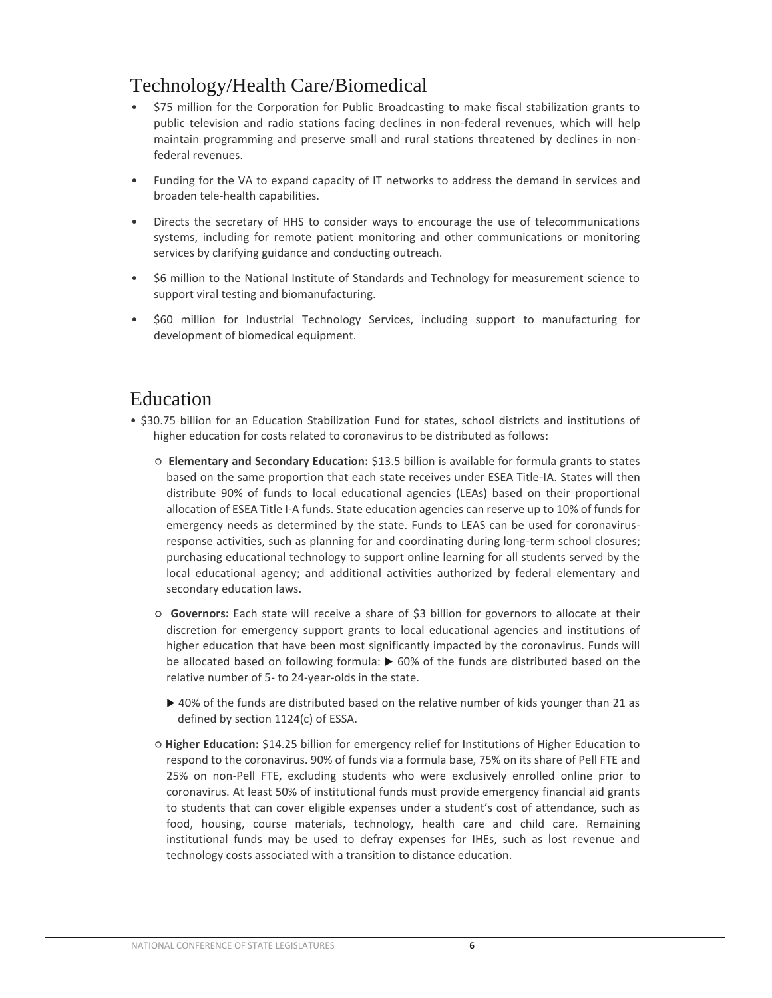## Technology/Health Care/Biomedical

- \$75 million for the Corporation for Public Broadcasting to make fiscal stabilization grants to public television and radio stations facing declines in non-federal revenues, which will help maintain programming and preserve small and rural stations threatened by declines in nonfederal revenues.
- Funding for the VA to expand capacity of IT networks to address the demand in services and broaden tele-health capabilities.
- Directs the secretary of HHS to consider ways to encourage the use of telecommunications systems, including for remote patient monitoring and other communications or monitoring services by clarifying guidance and conducting outreach.
- \$6 million to the National Institute of Standards and Technology for measurement science to support viral testing and biomanufacturing.
- \$60 million for Industrial Technology Services, including support to manufacturing for development of biomedical equipment.

#### Education

- \$30.75 billion for an Education Stabilization Fund for states, school districts and institutions of higher education for costs related to coronavirus to be distributed as follows:
	- **Elementary and Secondary Education:** \$13.5 billion is available for formula grants to states based on the same proportion that each state receives under ESEA Title-IA. States will then distribute 90% of funds to local educational agencies (LEAs) based on their proportional allocation of ESEA Title I-A funds. State education agencies can reserve up to 10% of funds for emergency needs as determined by the state. Funds to LEAS can be used for coronavirusresponse activities, such as planning for and coordinating during long-term school closures; purchasing educational technology to support online learning for all students served by the local educational agency; and additional activities authorized by federal elementary and secondary education laws.
	- **Governors:** Each state will receive a share of \$3 billion for governors to allocate at their discretion for emergency support grants to local educational agencies and institutions of higher education that have been most significantly impacted by the coronavirus. Funds will be allocated based on following formula:  $\triangleright$  60% of the funds are distributed based on the relative number of 5- to 24-year-olds in the state.
		- ▶ 40% of the funds are distributed based on the relative number of kids younger than 21 as defined by section 1124(c) of ESSA.
	- **Higher Education:** \$14.25 billion for emergency relief for Institutions of Higher Education to respond to the coronavirus. 90% of funds via a formula base, 75% on its share of Pell FTE and 25% on non-Pell FTE, excluding students who were exclusively enrolled online prior to coronavirus. At least 50% of institutional funds must provide emergency financial aid grants to students that can cover eligible expenses under a student's cost of attendance, such as food, housing, course materials, technology, health care and child care. Remaining institutional funds may be used to defray expenses for IHEs, such as lost revenue and technology costs associated with a transition to distance education.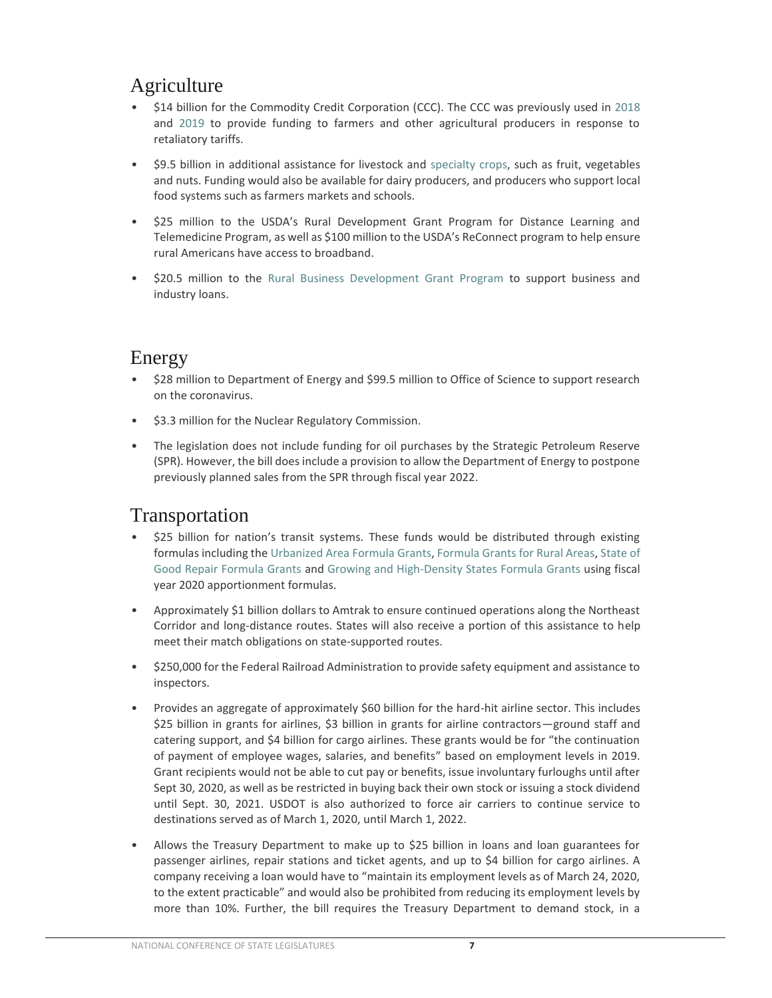## Agriculture

- \$14 billion for the Commodity Credit Corporation (CCC). The CCC was previously used in [2018](https://www.usda.gov/media/press-releases/2018/08/27/usda-announces-details-assistance-farmers-impacted-unjustified) and [2019](https://www.usda.gov/media/press-releases/2019/05/23/usda-announces-support-farmers-impacted-unjustified-retaliation-and) to provide funding to farmers and other agricultural producers in response to retaliatory tariffs.
- \$9.5 billion in additional assistance for livestock and [specialty crops,](https://www.ams.usda.gov/services/grants/scbgp/specialty-crop) such as fruit, vegetables and nuts. Funding would also be available for dairy producers, and producers who support local food systems such as farmers markets and schools.
- \$25 million to the USDA's Rural Development Grant Program for Distance Learning and Telemedicine Program, as well as \$100 million to the USDA's ReConnect program to help ensure rural Americans have access to broadband.
- \$20.5 million to the [Rural Business Development Grant Program to](https://www.rd.usda.gov/programs-services/rural-business-development-grants) support business and industry loans.

## Energy

- \$28 million to Department of Energy and \$99.5 million to Office of Science to support research on the coronavirus.
- \$3.3 million for the Nuclear Regulatory Commission.
- The legislation does not include funding for oil purchases by the Strategic Petroleum Reserve (SPR). However, the bill does include a provision to allow the Department of Energy to postpone previously planned sales from the SPR through fiscal year 2022.

#### Transportation

- \$25 billion for nation's transit systems. These funds would be distributed through existing formulas including th[e Urbanized Area Formula Grants,](https://www.transit.dot.gov/funding/grants/urbanized-area-formula-grants-5307) [Formula Grants for Rural Areas,](https://www.transit.dot.gov/funding/grants/formula-grants-rural-areas-fact-sheet-section-5311) [State of](https://www.transit.dot.gov/funding/grants/state-good-repair-grants-5337)  [Good Repair Formula Grants](https://www.transit.dot.gov/funding/grants/state-good-repair-grants-5337) [a](https://www.transit.dot.gov/funding/grants/state-good-repair-grants-5337)nd [Growing and High-Density States Formula Grants](https://www.transit.dot.gov/funding/grants/section-5340-growing-stateshigh-density-states-program-pdf) [u](https://www.transit.dot.gov/funding/grants/section-5340-growing-stateshigh-density-states-program-pdf)sing fiscal year 2020 apportionment formulas.
- Approximately \$1 billion dollars to Amtrak to ensure continued operations along the Northeast Corridor and long-distance routes. States will also receive a portion of this assistance to help meet their match obligations on state-supported routes.
- \$250,000 for the Federal Railroad Administration to provide safety equipment and assistance to inspectors.
- Provides an aggregate of approximately \$60 billion for the hard-hit airline sector. This includes \$25 billion in grants for airlines, \$3 billion in grants for airline contractors—ground staff and catering support, and \$4 billion for cargo airlines. These grants would be for "the continuation of payment of employee wages, salaries, and benefits" based on employment levels in 2019. Grant recipients would not be able to cut pay or benefits, issue involuntary furloughs until after Sept 30, 2020, as well as be restricted in buying back their own stock or issuing a stock dividend until Sept. 30, 2021. USDOT is also authorized to force air carriers to continue service to destinations served as of March 1, 2020, until March 1, 2022.
- Allows the Treasury Department to make up to \$25 billion in loans and loan guarantees for passenger airlines, repair stations and ticket agents, and up to \$4 billion for cargo airlines. A company receiving a loan would have to "maintain its employment levels as of March 24, 2020, to the extent practicable" and would also be prohibited from reducing its employment levels by more than 10%. Further, the bill requires the Treasury Department to demand stock, in a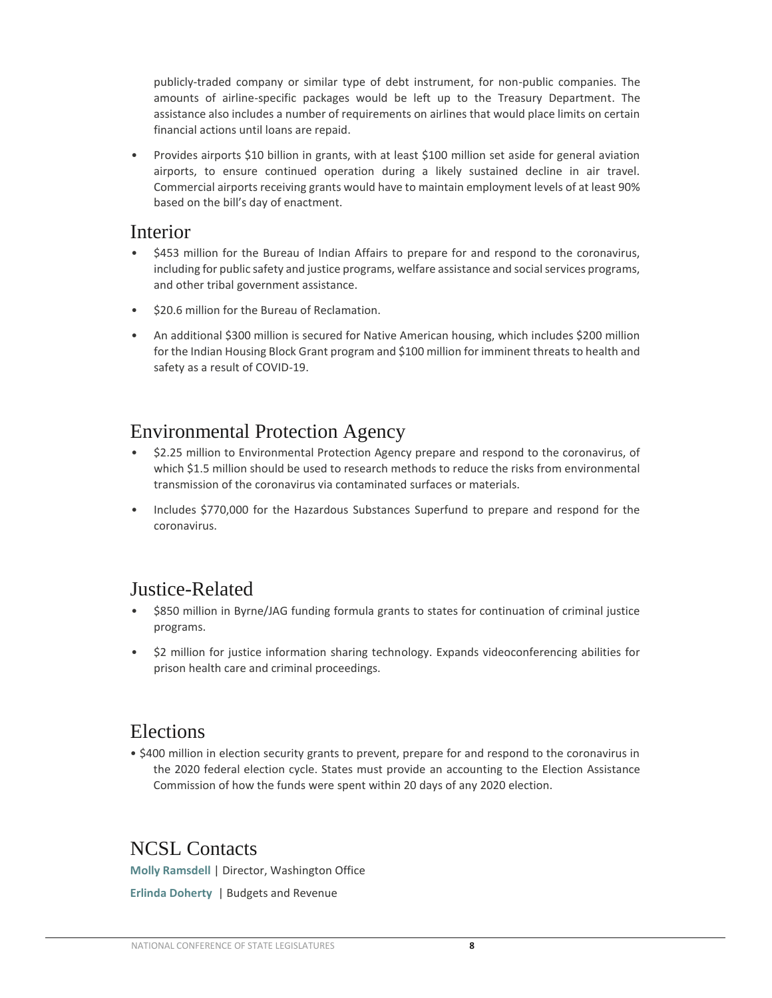publicly-traded company or similar type of debt instrument, for non-public companies. The amounts of airline-specific packages would be left up to the Treasury Department. The assistance also includes a number of requirements on airlines that would place limits on certain financial actions until loans are repaid.

• Provides airports \$10 billion in grants, with at least \$100 million set aside for general aviation airports, to ensure continued operation during a likely sustained decline in air travel. Commercial airports receiving grants would have to maintain employment levels of at least 90% based on the bill's day of enactment.

#### Interior

- \$453 million for the Bureau of Indian Affairs to prepare for and respond to the coronavirus, including for public safety and justice programs, welfare assistance and social services programs, and other tribal government assistance.
- \$20.6 million for the Bureau of Reclamation.
- An additional \$300 million is secured for Native American housing, which includes \$200 million for the Indian Housing Block Grant program and \$100 million for imminent threats to health and safety as a result of COVID-19.

#### Environmental Protection Agency

- \$2.25 million to Environmental Protection Agency prepare and respond to the coronavirus, of which \$1.5 million should be used to research methods to reduce the risks from environmental transmission of the coronavirus via contaminated surfaces or materials.
- Includes \$770,000 for the Hazardous Substances Superfund to prepare and respond for the coronavirus.

#### Justice-Related

- \$850 million in Byrne/JAG funding formula grants to states for continuation of criminal justice programs.
- \$2 million for justice information sharing technology. Expands videoconferencing abilities for prison health care and criminal proceedings.

#### Elections

• \$400 million in election security grants to prevent, prepare for and respond to the coronavirus in the 2020 federal election cycle. States must provide an accounting to the Election Assistance Commission of how the funds were spent within 20 days of any 2020 election.

#### NCSL Contacts

**Molly Ramsdell** | Director, Washington Office

**Erlinda Doherty** | Budgets and Revenue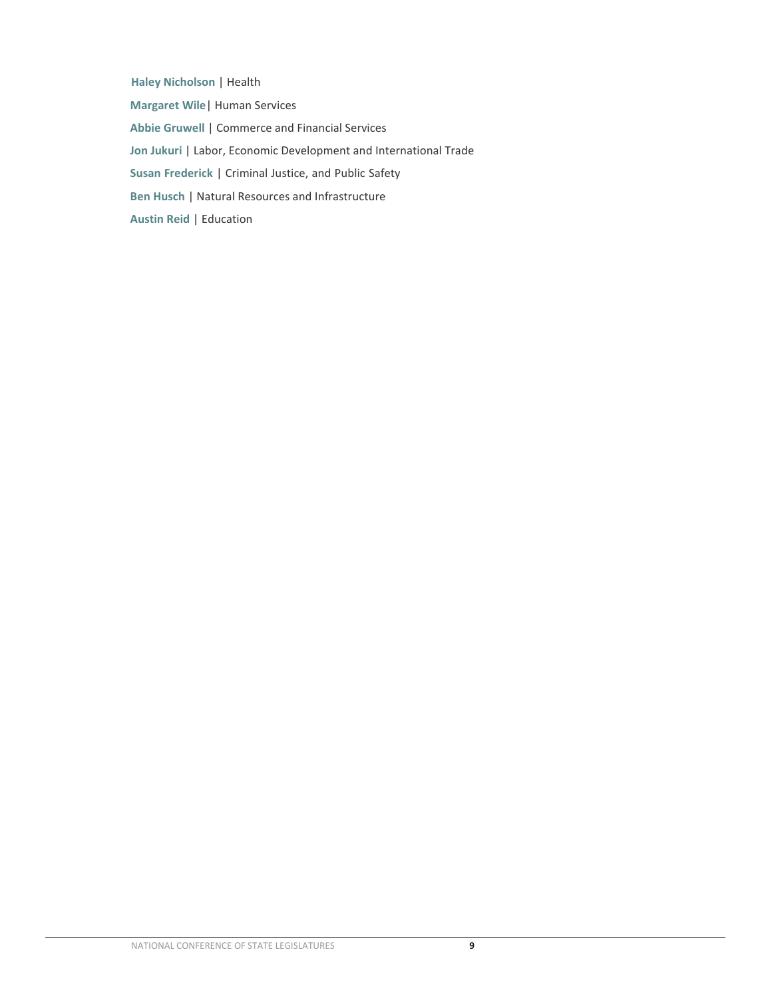**Haley Nicholson** | Health **Margaret Wile**| Human Services **Abbie Gruwell** | Commerce and Financial Services **Jon Jukuri** | Labor, Economic Development and International Trade **Susan Frederick** | Criminal Justice, and Public Safety **Ben Husch** | Natural Resources and Infrastructure **Austin Reid** | Education